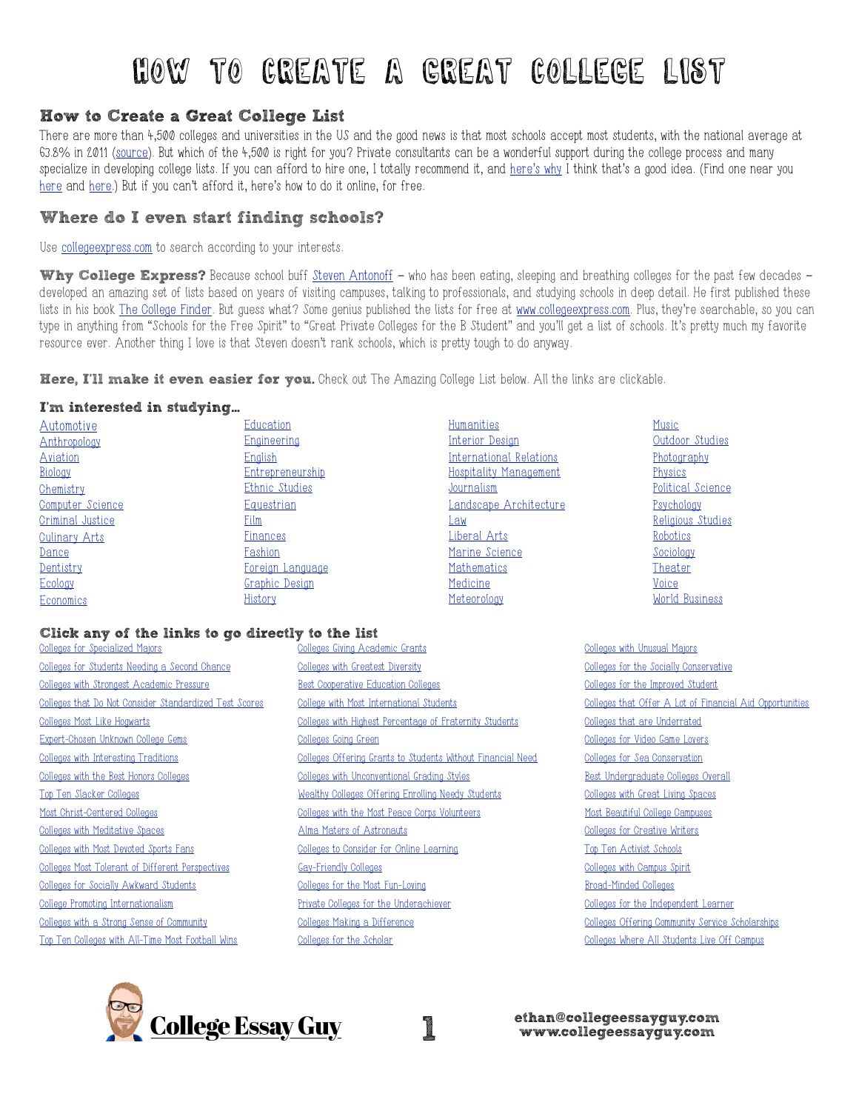# How to Create A Great College List

## How to Create a Great College List

There are more than 4,500 colleges and universities in the US and the good news is that most schools accept most students, with the national average at 63.8% in 2011 ([source\)](http://www.nacacnet.org/research/research-data/Documents/2012SOCA.pdf). But which of the 4,500 is right for you? Private consultants can be a wonderful support during the college process and many specialize in developing college lists. If you can afford to hire one, I totally recommend it, and [here's why](http://www.iecaonline.com/parents.html) I think that's a good idea. (Find one near you [here](http://www.iecaonline.com/cfm_PublicSearch/pg_PublicSearch.cfm?mode=entry) and [here.](http://www.hecaonline.org/Directory)) But if you can't afford it, here's how to do it online, for free.

## Where do I even start finding schools?

Use [collegeexpress.com](http://www.collegeexpress.com/) to search according to your interests.

Why College Express? Because school buff [Steven Antonoff](http://schoolbuff.com/) – who has been eating, sleeping and breathing colleges for the past few decades – developed an amazing set of lists based on years of visiting campuses, talking to professionals, and studying schools in deep detail. He first published these lists in his book [The College Finder](http://www.amazon.com/The-College-Finder-Choose-School/dp/1933119861/ref=sr_1_1?ie=UTF8&qid=1385158417&sr=8-1&keywords=The+College+Finder). But guess what? Some genius published the lists for free at [www.collegeexpress.com](http://www.collegeexpress.com/). Plus, they're searchable, so you can type in anything from "Schools for the Free Spirit" to "Great Private Colleges for the B Student" and you'll get a list of schools. It's pretty much my favorite resource ever. Another thing I love is that Steven doesn't rank schools, which is pretty tough to do anyway.

Here, I'll make it even easier for you. Check out The Amazing College List below. All the links are clickable.

#### I'm interested in studying…

| Automotive       | Education             | Humanities                    | Music             |
|------------------|-----------------------|-------------------------------|-------------------|
| Anthropology     | <b>Engineering</b>    | Interior Design               | Outdoor Studies   |
| Aviation         | English               | International Relations       | Photography       |
| Biology          | Entrepreneurship      | <b>Hospitality Management</b> | Physics           |
| Chemistry        | Ethnic Studies        | Journalism                    | Political Science |
| Computer Science | Equestrian            | <u>Landscape Architecture</u> | Psychology        |
| Criminal Justice | Film                  | Law                           | Religious Studies |
| Culinary Arts    | <b>Finances</b>       | Liberal Arts                  | Robotics          |
| Dance            | Fashion               | Marine Science                | Sociology         |
| Dentistry        | Foreign Language      | Mathematics                   | Theater           |
| Ecology          | <b>Graphic Design</b> | Medicine                      | Voice             |
| Economics        | History               | Meteorology                   | World Business    |

### Click any of the links to go directly to the list

[Colleges for Specialized Majors](http://www.collegexpress.com/lists/list/specialized-colleges-from-cartooning-to-underwater-welding/248/) [Colleges for Students Needing a Second Chance](http://www.collegexpress.com/lists/list/colleges-for-students-needing-a-second-chance/691/) [Colleges with Strongest Academic Pressure](http://www.collegexpress.com/lists/list/high-intensity-colleges/425/) [Colleges that Do Not Consider Standardized Test Scores](http://www.collegexpress.com/lists/list/colleges-that-do-not-consider-standardized-test-scores/2083/) [Colleges Most Like Hogwarts](http://www.collegexpress.com/lists/list/colleges-most-like-hogwarts/1460/) [Expert-Chosen Unknown College Gems](http://www.collegexpress.com/lists/list/the-experts-choice-hidden-gems/655/) [Colleges with Interesting Traditions](http://www.collegexpress.com/lists/list/interesting-college-traditions/765/) [Colleges with the Best Honors Colleges](http://www.collegexpress.com/lists/list/making-a-large-school-seem-smaller-honors-colleges/269/) [Top Ten Slacker Colleges](http://www.collegexpress.com/lists/list/the-top-10-slacker-colleges/767/) [Most Christ-Centered Colleges](http://www.collegexpress.com/lists/list/council-for-christian-colleges-and-universities/470/) [Colleges with Meditative Spaces](http://www.collegexpress.com/lists/list/colleges-with-meditative-spaces/746/) [Colleges with Most Devoted Sports Fans](http://www.collegexpress.com/lists/list/most-devoted-sports-fans/1680/) [Colleges Most Tolerant of Different Perspectives](http://www.collegexpress.com/lists/list/colleges-tolerant-and-accepting-of-differing-student-perspectives/448/) [Colleges for Socially Awkward Students](http://www.collegexpress.com/lists/list/schools-for-a-socially-awkward-student/423/) [College Promoting Internationalism](http://www.collegexpress.com/lists/list/colleges-that-promote-internationalism/318/) [Colleges with a Strong Sense of Community](http://www.collegexpress.com/lists/list/colleges-with-a-strong-sense-of-community/407/) [Top Ten Colleges with All-Time Most Football Wins](http://www.collegexpress.com/lists/list/the-10-all-time-most-winning-college-football-teams/529/)

- [Colleges Giving Academic Grants](http://www.collegexpress.com/lists/list/the-experts-choice-lots-of-grants-for-good-students/353/) [Colleges with Greatest Diversity](http://www.collegexpress.com/lists/list/colleges-with-all-types-of-student-diversity/446/) [Best Cooperative Education Colleges](http://www.collegexpress.com/lists/list/best-cooperative-education-colleges/272/) [College with Most International Students](http://www.collegexpress.com/lists/list/colleges-with-the-highest-percentage-of-international-students/336/) [Colleges with Highest Percentage of Fraternity Students](http://www.collegexpress.com/lists/list/colleges-where-a-high-percentage-of-students-join-fraternities/413/) [Colleges Going Green](http://www.collegexpress.com/lists/list/15-green-colleges-and-universities/253/) [Colleges Offering Grants to Students Without Financial Need](http://www.collegexpress.com/lists/list/where-money-is-given-to-students-without-financial-need/354/) [Colleges with Unconventional Grading Styles](http://www.collegexpress.com/lists/list/out-of-the-box-academic-programs/238/) [Wealthy Colleges Offering Enrolling Needy Students](http://www.collegexpress.com/lists/list/wealthy-universities-making-an-effort-to-enroll-needy-students/350/) [Colleges with the Most Peace Corps Volunteers](http://www.collegexpress.com/lists/list/schools-with-the-most-peace-corps-volunteers/434/) [Alma Maters of Astronauts](http://www.collegexpress.com/lists/list/alma-maters-of-astronauts/900/) [Colleges to Consider for Online Learning](http://www.collegexpress.com/lists/list/colleges-to-consider-for-learning-online/263/) [Gay-Friendly Colleges](http://www.collegexpress.com/lists/list/gay-friendly-colleges/451/) [Colleges for the Most Fun-Loving](http://www.collegexpress.com/lists/list/colleges-for-the-most-fun-loving/410/) [Private Colleges for the Underachiever](http://www.collegexpress.com/lists/list/great-private-colleges-for-the-underachiever/688/) [Colleges Making a Difference](http://www.collegexpress.com/lists/list/making-a-difference-colleges/433/) [Colleges for the Scholar](http://www.collegexpress.com/lists/list/colleges-for-the-scholar/426/)
- 

[Colleges with Unusual Majors](http://www.collegexpress.com/lists/list/the-experts-choice-colleges-with-unusual-majors/250/) [Colleges for the Socially Conservative](http://www.collegexpress.com/lists/list/colleges-for-the-socially-conservative/454/) [Colleges for the Improved Student](http://www.collegexpress.com/lists/list/the-experts-choice-colleges-for-the-improved-student/687/) [Colleges that Offer A Lot of Financial Aid Opportunities](http://www.collegexpress.com/lists/list/the-experts-choice-colleges-that-go-the-extra-mile-to-make-it-financially-possible-to-attend/352/) [Colleges that are Underrated](http://www.collegexpress.com/lists/list/the-experts-choice-colleges-that-are-underrated/659/) [Colleges for Video Game Lovers](http://www.collegexpress.com/lists/list/colleges-gamers-might-consider/137/) [Colleges for Sea Conservation](http://www.collegexpress.com/lists/list/sea-grant-colleges/173/) [Best Undergraduate Colleges Overall](http://www.collegexpress.com/lists/list/the-experts-choice-the-best-undergraduate-colleges/658/) [Colleges with Great Living Spaces](http://www.collegexpress.com/lists/list/the-experts-choice-colleges-with-great-living-spaces-for-students/734/) [Most Beautiful College Campuses](http://www.collegexpress.com/lists/list/the-experts-choice-most-beautiful-campuses/701/) [Colleges for Creative Writers](http://www.collegexpress.com/lists/list/more-colleges-for-creative-writers/171/) [Top Ten Activist Schools](http://www.collegexpress.com/lists/list/top-10-activist-schools/431/) [Colleges with Campus Spirit](http://www.collegexpress.com/lists/list/colleges-with-plenty-of-campus-spirit/409/) [Broad-Minded Colleges](http://www.collegexpress.com/lists/list/colleges-that-are-particularly-broad-minded/444/) [Colleges for the Independent Learner](http://www.collegexpress.com/lists/list/colleges-for-the-independent-learner/424/) [Colleges Offering Community Service Scholarships](http://www.collegexpress.com/lists/list/colleges-offering-community-service-scholarships/438/) [Colleges Where All Students Live Off Campus](http://www.collegexpress.com/lists/list/where-all-students-live-off-campus/2260/)



1 [ethan@collegeessayguy.com](mailto:ethan@collegeessayguy.com) [www.collegeessayguy.com](http://www.collegeessayguy.com)